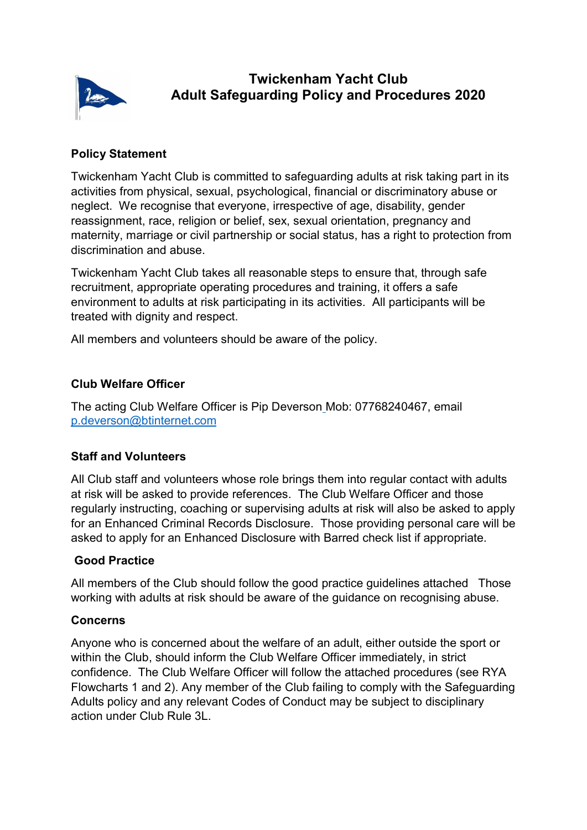

# Policy Statement

Twickenham Yacht Club is committed to safeguarding adults at risk taking part in its activities from physical, sexual, psychological, financial or discriminatory abuse or neglect. We recognise that everyone, irrespective of age, disability, gender reassignment, race, religion or belief, sex, sexual orientation, pregnancy and maternity, marriage or civil partnership or social status, has a right to protection from discrimination and abuse.

Twickenham Yacht Club takes all reasonable steps to ensure that, through safe recruitment, appropriate operating procedures and training, it offers a safe environment to adults at risk participating in its activities. All participants will be treated with dignity and respect.

All members and volunteers should be aware of the policy.

# Club Welfare Officer

The acting Club Welfare Officer is Pip Deverson Mob: 07768240467, email p.deverson@btinternet.com

# Staff and Volunteers

All Club staff and volunteers whose role brings them into regular contact with adults at risk will be asked to provide references. The Club Welfare Officer and those regularly instructing, coaching or supervising adults at risk will also be asked to apply for an Enhanced Criminal Records Disclosure. Those providing personal care will be asked to apply for an Enhanced Disclosure with Barred check list if appropriate.

# Good Practice

All members of the Club should follow the good practice guidelines attached Those working with adults at risk should be aware of the guidance on recognising abuse.

#### Concerns

Anyone who is concerned about the welfare of an adult, either outside the sport or within the Club, should inform the Club Welfare Officer immediately, in strict confidence. The Club Welfare Officer will follow the attached procedures (see RYA Flowcharts 1 and 2). Any member of the Club failing to comply with the Safeguarding Adults policy and any relevant Codes of Conduct may be subject to disciplinary action under Club Rule 3L.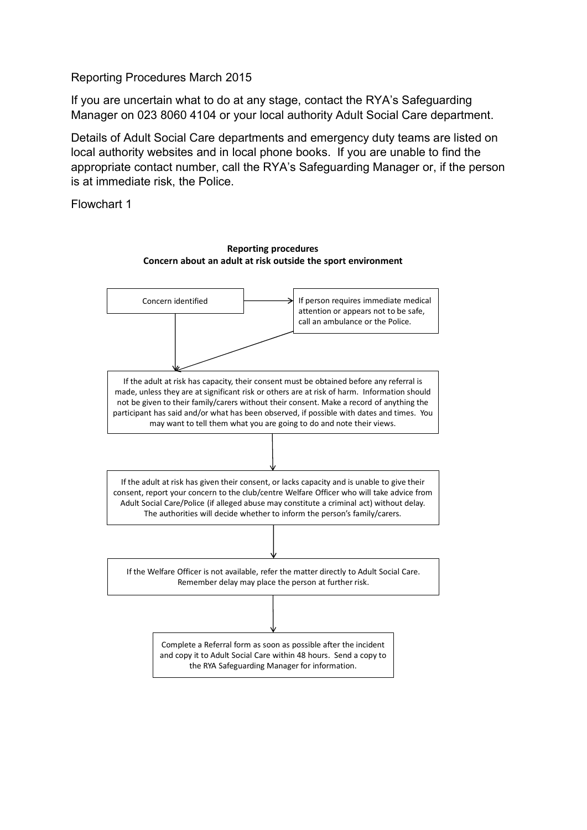Reporting Procedures March 2015

If you are uncertain what to do at any stage, contact the RYA's Safeguarding Manager on 023 8060 4104 or your local authority Adult Social Care department.

Details of Adult Social Care departments and emergency duty teams are listed on local authority websites and in local phone books. If you are unable to find the appropriate contact number, call the RYA's Safeguarding Manager or, if the person is at immediate risk, the Police.

Flowchart 1

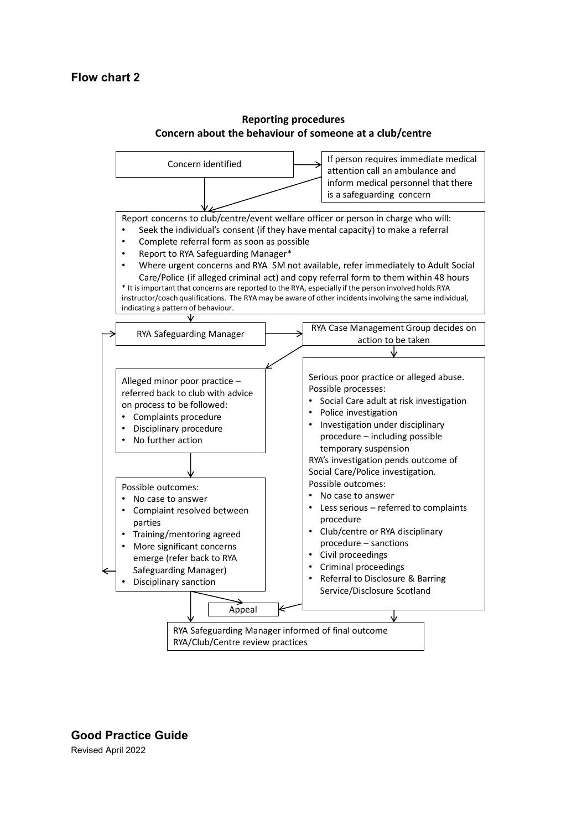

#### Reporting procedures Concern about the behaviour of someone at a club/centre

Good Practice Guide Revised April 2022